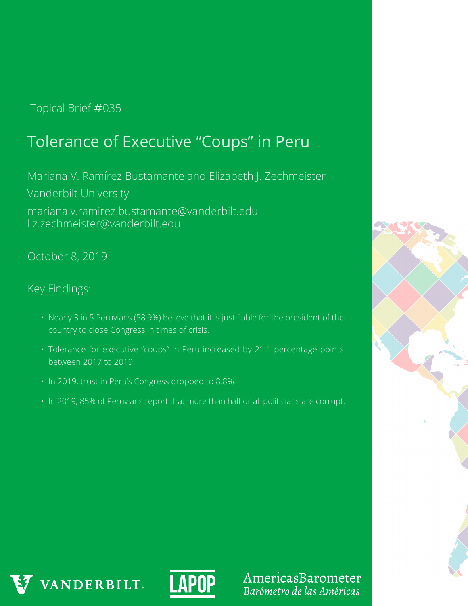## Topical Brief #035

# Tolerance of Executive "Coups" in Peru

Mariana V. Ramírez Bustamante and Elizabeth J. Zechmeister Vanderbilt University mariana.v.ramirez.bustamante@vanderbilt.edu liz.zechmeister@vanderbilt.edu

October 8, 2019

Key Findings:

- Nearly 3 in 5 Peruvians (58.9%) believe that it is justifiable for the president of the country to close Congress in times of crisis.
- Tolerance for executive "coups" in Peru increased by 21.1 percentage points between 2017 to 2019.
- In 2019, trust in Peru's Congress dropped to 8.8%.
- In 2019, 85% of Peruvians report that more than half or all politicians are corrupt.







AmericasBarometer Barómetro de las Américas

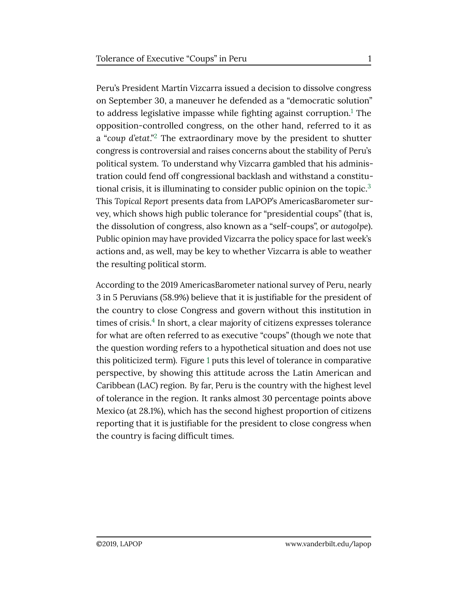Peru's President Martín Vizcarra issued a decision to dissolve congress on September 30, a maneuver he defended as a "democratic solution" to address legislative impasse while fighting against corruption.<sup>[1](#page-4-0)</sup> The opposition-controlled congress, on the other hand, referred to it as a "*coup d'etat*."[2](#page-5-0) The extraordinary move by the president to shutter congress is controversial and raises concerns about the stability of Peru's political system. To understand why Vizcarra gambled that his administration could fend off congressional backlash and withstand a constitu-tional crisis, it is illuminating to consider public opinion on the topic.<sup>[3](#page-5-1)</sup> This *Topical Report* presents data from LAPOP's AmericasBarometer survey, which shows high public tolerance for "presidential coups" (that is, the dissolution of congress, also known as a "self-coups", or *autogolpe*). Public opinion may have provided Vizcarra the policy space for last week's actions and, as well, may be key to whether Vizcarra is able to weather the resulting political storm.

According to the 2019 AmericasBarometer national survey of Peru, nearly 3 in 5 Peruvians (58.9%) believe that it is justifiable for the president of the country to close Congress and govern without this institution in times of crisis.<sup>[4](#page-5-2)</sup> In short, a clear majority of citizens expresses tolerance for what are often referred to as executive "coups" (though we note that the question wording refers to a hypothetical situation and does not use this politicized term). Figure [1](#page-2-0) puts this level of tolerance in comparative perspective, by showing this attitude across the Latin American and Caribbean (LAC) region. By far, Peru is the country with the highest level of tolerance in the region. It ranks almost 30 percentage points above Mexico (at 28.1%), which has the second highest proportion of citizens reporting that it is justifiable for the president to close congress when the country is facing difficult times.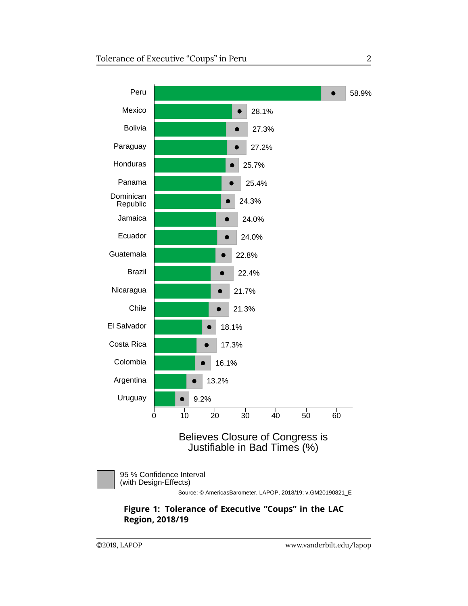<span id="page-2-0"></span>



 95 % Confidence Interval (with Design-Effects)

Source: © AmericasBarometer, LAPOP, 2018/19; v.GM20190821\_E

**Figure 1: Tolerance of Executive "Coups" in the LAC Region, 2018/19**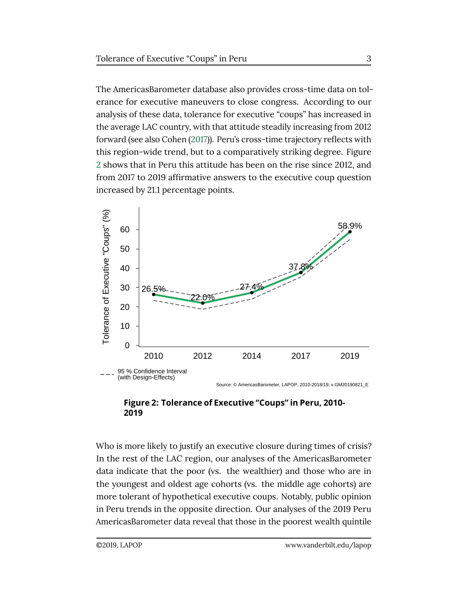The AmericasBarometer database also provides cross-time data on tolerance for executive maneuvers to close congress. According to our analysis of these data, tolerance for executive "coups" has increased in the average LAC country, with that attitude steadily increasing from 2012 forward (see also Cohen [\(2017\)](#page-5-3)). Peru's cross-time trajectory reflects with this region-wide trend, but to a comparatively striking degree. Figure [2](#page-3-0) shows that in Peru this attitude has been on the rise since 2012, and from 2017 to 2019 affirmative answers to the executive coup question increased by 21.1 percentage points.

<span id="page-3-0"></span>

Source: © AmericasBarometer, LAPOP, 2010-2018/19; v.GM20190821\_E

#### **Figure 2: Tolerance of Executive "Coups" in Peru, 2010- 2019**

Who is more likely to justify an executive closure during times of crisis? In the rest of the LAC region, our analyses of the AmericasBarometer data indicate that the poor (vs. the wealthier) and those who are in the youngest and oldest age cohorts (vs. the middle age cohorts) are more tolerant of hypothetical executive coups. Notably, public opinion in Peru trends in the opposite direction. Our analyses of the 2019 Peru AmericasBarometer data reveal that those in the poorest wealth quintile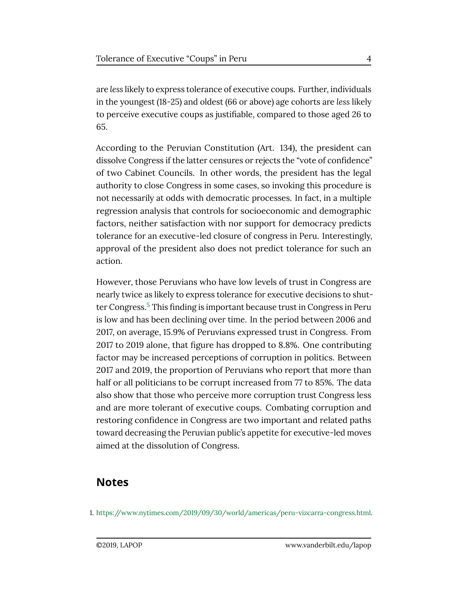are *less* likely to express tolerance of executive coups. Further, individuals in the youngest (18-25) and oldest (66 or above) age cohorts are *less* likely to perceive executive coups as justifiable, compared to those aged 26 to 65.

According to the Peruvian Constitution (Art. 134), the president can dissolve Congress if the latter censures or rejects the "vote of confidence" of two Cabinet Councils. In other words, the president has the legal authority to close Congress in some cases, so invoking this procedure is not necessarily at odds with democratic processes. In fact, in a multiple regression analysis that controls for socioeconomic and demographic factors, neither satisfaction with nor support for democracy predicts tolerance for an executive-led closure of congress in Peru. Interestingly, approval of the president also does not predict tolerance for such an action.

However, those Peruvians who have low levels of trust in Congress are nearly twice as likely to express tolerance for executive decisions to shut-ter Congress.<sup>[5](#page-5-4)</sup> This finding is important because trust in Congress in Peru is low and has been declining over time. In the period between 2006 and 2017, on average, 15.9% of Peruvians expressed trust in Congress. From 2017 to 2019 alone, that figure has dropped to 8.8%. One contributing factor may be increased perceptions of corruption in politics. Between 2017 and 2019, the proportion of Peruvians who report that more than half or all politicians to be corrupt increased from 77 to 85%. The data also show that those who perceive more corruption trust Congress less and are more tolerant of executive coups. Combating corruption and restoring confidence in Congress are two important and related paths toward decreasing the Peruvian public's appetite for executive-led moves aimed at the dissolution of Congress.

## **Notes**

<span id="page-4-0"></span>1. [https://www.nytimes.com/2019/09/30/world/americas/peru-vizcarra-congress.html.](https://www.nytimes.com/2019/09/30/world/americas/peru-vizcarra-congress.html)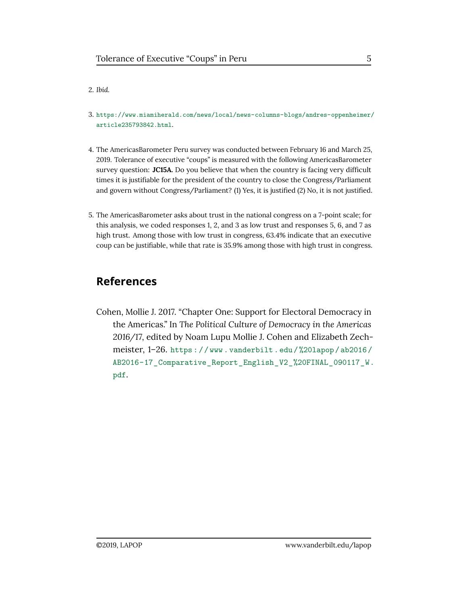#### <span id="page-5-0"></span>2. *Ibid.*

- <span id="page-5-1"></span>3. [https://www.miamiherald.com/news/local/news-columns-blogs/andres-oppenheimer/](https://www.miamiherald.com/news/local/news-columns-blogs/andres-oppenheimer/article235793842.html) [article235793842.html](https://www.miamiherald.com/news/local/news-columns-blogs/andres-oppenheimer/article235793842.html).
- <span id="page-5-2"></span>4. The AmericasBarometer Peru survey was conducted between February 16 and March 25, 2019. Tolerance of executive "coups" is measured with the following AmericasBarometer survey question: **JC15A.** Do you believe that when the country is facing very difficult times it is justifiable for the president of the country to close the Congress/Parliament and govern without Congress/Parliament? (1) Yes, it is justified (2) No, it is not justified.
- <span id="page-5-4"></span>5. The AmericasBarometer asks about trust in the national congress on a 7-point scale; for this analysis, we coded responses 1, 2, and 3 as low trust and responses 5, 6, and 7 as high trust. Among those with low trust in congress, 63.4% indicate that an executive coup can be justifiable, while that rate is 35.9% among those with high trust in congress.

## **References**

<span id="page-5-3"></span>Cohen, Mollie J. 2017. "Chapter One: Support for Electoral Democracy in the Americas." In *The Political Culture of Democracy in the Americas 2016/17,* edited by Noam Lupu Mollie J. Cohen and Elizabeth Zechmeister, 1–26. [https : / / www . vanderbilt . edu / %20lapop / ab2016 /](https://www.vanderbilt.edu/%20lapop/ab2016/AB2016-17_Comparative_Report_English_V2_%20FINAL_090117_W.pdf) [AB2016-17\\_Comparative\\_Report\\_English\\_V2\\_%20FINAL\\_090117\\_W.](https://www.vanderbilt.edu/%20lapop/ab2016/AB2016-17_Comparative_Report_English_V2_%20FINAL_090117_W.pdf) [pdf](https://www.vanderbilt.edu/%20lapop/ab2016/AB2016-17_Comparative_Report_English_V2_%20FINAL_090117_W.pdf).